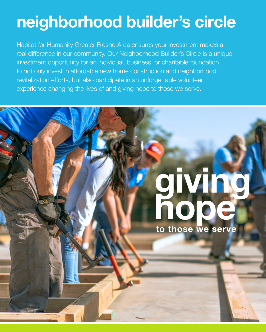# **neighborhood builder's circle**

Habitat for Humanity Greater Fresno Area ensures your investment makes a real difference in our community. Our Neighborhood Builder's Circle is a unique investment opportunity for an individual, business, or charitable foundation to not only invest in affordable new home construction and neighborhood revitalization efforts, but also participate in an unforgettable volunteer experience changing the lives of and giving hope to those we serve.

# **giving hope**

**to those we serve**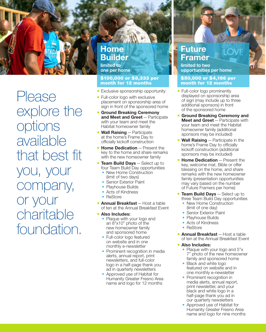

Please explore the options available that best fit you, your company, or your charitable foundation.

# **Home Builder**

**limited to one per home**

#### \$100,000 or \$8,333 per month for 12 months

- **Exclusive sponsorship opportunity**
- Full-color logo with exclusive placement on sponsorship area of sign in front of the sponsored home
- ¡ **Ground Breaking Ceremony and Meet and Greet**—Participate with your team and meet the Habitat homeowner family
- ¡ **Wall Raising**—Participate at the home's Frame Day to officially kickoff construction
- **Home Dedication** Present the key to the home and share remarks with the new homeowner family
- **Team Build Days** Select up to four Team Build Day opportunities
	- New Home Construction (limit of two days)
	- Senior Exterior Paint
	- Playhouse Builds
	- Acts of Kindness
	- ReStore
- **Annual Breakfast** Host a table of ten at the Annual Breakfast Event
- ¡ **Also Includes:**
	- Plaque with your logo and an 8"x10" photo of the new homeowner family and sponsored home
	- Full-color logo featured on website and in one monthly e‑newsletter
	- Prominent recognition in media alerts, annual report, print newsletters, and full‑color logo in a half‑page thank you ad in quarterly newsletters
	- Approved use of Habitat for Humanity Greater Fresno Area name and logo for 12 months

## **Future Framer**

**limited to two opportunities per home**

#### \$50,000 or \$4,166 per month for 12 months

- Full-color logo prominently displayed on sponsorship area of sign (may include up to three additional sponsors) in front of the sponsored home
- ¡ **Ground Breaking Ceremony and Meet and Greet**—Participate with your team and meet the Habitat homeowner family (additional sponsors may be included)
- **Wall Raising** Participate in the home's Frame Day to officially kickoff construction (additional sponsors may be included)
- **F** Home Dedication Present the key, welcome mat, Bible or offer blessing on the home, and share remarks with the new homeowner family (presentation opportunities may vary based on the number of Future Framers per home)
- **Team Build Days** Select up to three Team Build Day opportunities
	- New Home Construction (limit of one day)
	- Senior Exterior Paint
	- Playhouse Builds
	- Acts of Kindness
	- ReStore
- **Annual Breakfast** Host a table of ten at the Annual Breakfast Event

#### ¡ **Also Includes:**

- Plaque with your logo and 5"x 7" photo of the new homeowner family and sponsored home
- Black and white logo featured on website and in one monthly e‑newsletter
- Prominent recognition in media alerts, annual report, print newsletter, and your black and white logo in a half-page thank you ad in our quarterly newsletters
- Approved use of Habitat for Humanity Greater Fresno Area name and logo for nine months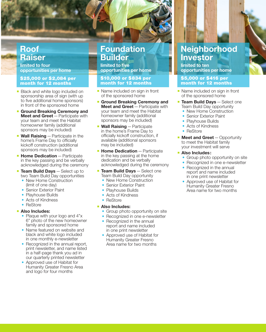## **Roof Raiser**

**limited to four opportunities per home**

#### \$25,000 or \$2,084 per month for 12 months

- **Black and white logo included on** sponsorship area of sign (with up to five additional home sponsors) in front of the sponsored home
- ¡ **Ground Breaking Ceremony and Meet and Greet**—Participate with your team and meet the Habitat homeowner family (additional sponsors may be included)
- **Wall Raising** Participate in the home's Frame Day to officially kickoff construction (additional sponsors may be included)
- **Exercice Bedication** Participate in the key passing and be verbally acknowledged during the ceremony
- **Team Build Days** Select up to two Team Build Day opportunities
	- New Home Construction (limit of one day)
	- Senior Exterior Paint
	- Playhouse Builds
	- Acts of Kindness
	- ReStore

#### ¡ **Also Includes:**

- Plaque with your logo and 4"x 6" photo of the new homeowner family and sponsored home
- Name featured on website and black and white logo included in one monthly e-newsletter
- Recognized in the annual report, print newsletter, and name listed in a half‑page thank you ad in our quarterly printed newsletter
- Approved use of Habitat for Humanity Greater Fresno Area and logo for four months

# **Foundation Builder**

**limited to five opportunities per home**

#### \$10,000 or \$834 per month for 12 months

- Name included on sign in front of the sponsored home
- **Ground Breaking Ceremony and Meet and Greet**—Participate with your team and meet the Habitat homeowner family (additional sponsors may be included)
- ¡ **Wall Raising**—Participate in the home's Frame Day to officially kickoff construction, if available (additional sponsors may be included)
- **Example Dedication** Participate in the key passing at the home dedication and be verbally acknowledged during the ceremony
- **Team Build Days** Select one Team Build Day opportunity
	- New Home Construction
	- Senior Exterior Paint
	- Playhouse Builds
	- Acts of Kindness
	- ReStore

#### ¡ **Also Includes:**

- Group photo opportunity on site
- Recognized in one e-newsletter
- Recognized in the annual report and name included in one print newsletter
- Approved use of Habitat for Humanity Greater Fresno Area name for two months

# **Neighborhood Investor**

**limited to ten opportunities per home**

#### \$5,000 or \$416 per month for 12 months

- Name included on sign in front of the sponsored home
- **Team Build Days** Select one Team Build Day opportunity
	- New Home Construction
	- Senior Exterior Paint
	- Playhouse Builds
	- Acts of Kindness
	- ReStore
- **E** Meet and Greet Opportunity to meet the Habitat family your investment will serve

#### ¡ **Also Includes:**

- Group photo opportunity on site
- Recognized in one e-newsletter
- Recognized in the annual report and name included in one print newsletter
- Approved use of Habitat for Humanity Greater Fresno Area name for two months